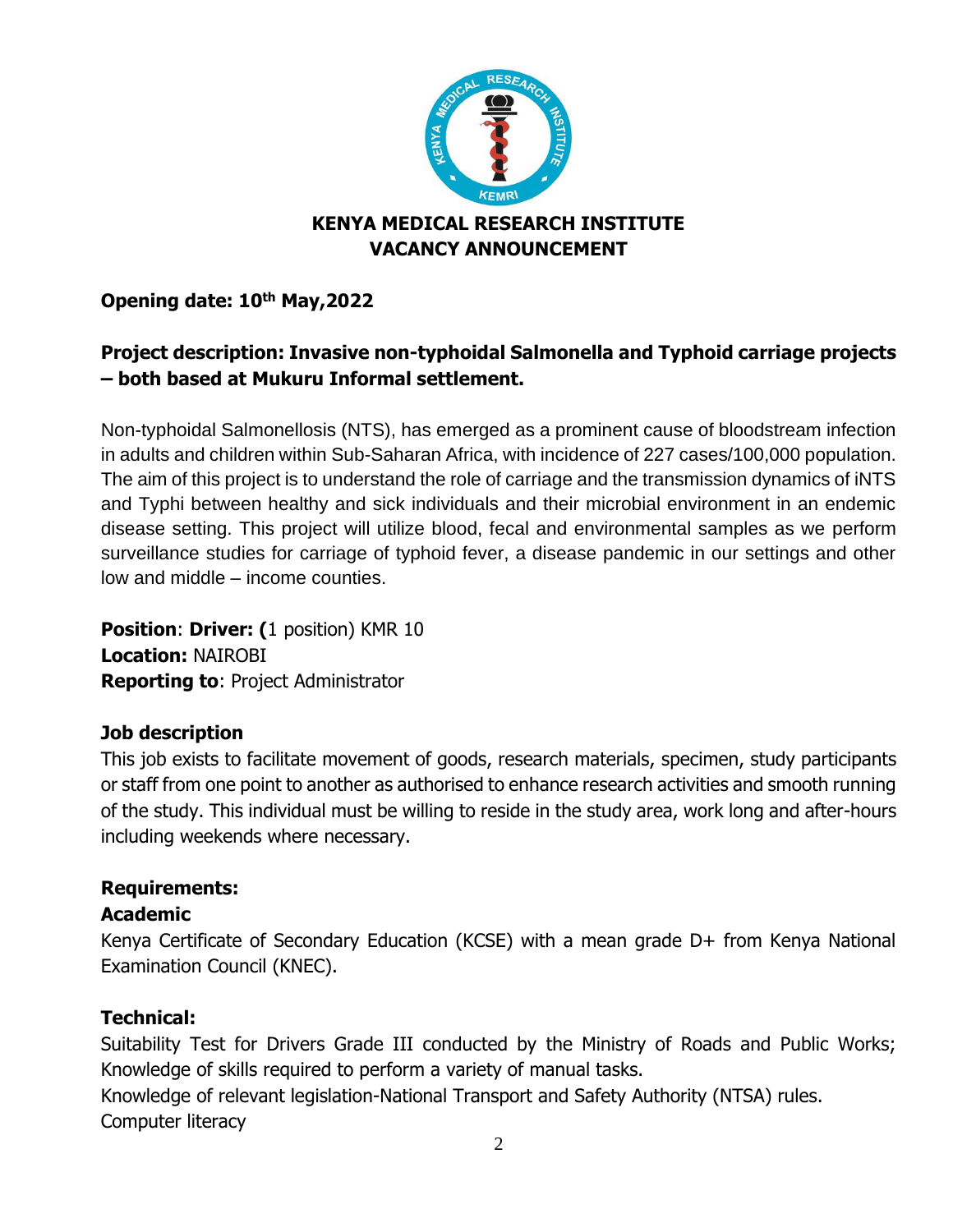

# **KENYA MEDICAL RESEARCH INSTITUTE VACANCY ANNOUNCEMENT**

**Opening date: 10th May,2022** 

# **Project description: Invasive non-typhoidal Salmonella and Typhoid carriage projects – both based at Mukuru Informal settlement.**

Non-typhoidal Salmonellosis (NTS), has emerged as a prominent cause of bloodstream infection in adults and children within Sub-Saharan Africa, with incidence of 227 cases/100,000 population. The aim of this project is to understand the role of carriage and the transmission dynamics of iNTS and Typhi between healthy and sick individuals and their microbial environment in an endemic disease setting. This project will utilize blood, fecal and environmental samples as we perform surveillance studies for carriage of typhoid fever, a disease pandemic in our settings and other low and middle – income counties.

**Position**: **Driver: (**1 position) KMR 10 **Location:** NAIROBI **Reporting to**: Project Administrator

## **Job description**

This job exists to facilitate movement of goods, research materials, specimen, study participants or staff from one point to another as authorised to enhance research activities and smooth running of the study. This individual must be willing to reside in the study area, work long and after-hours including weekends where necessary.

## **Requirements:**

## **Academic**

Kenya Certificate of Secondary Education (KCSE) with a mean grade D+ from Kenya National Examination Council (KNEC).

## **Technical:**

Suitability Test for Drivers Grade III conducted by the Ministry of Roads and Public Works; Knowledge of skills required to perform a variety of manual tasks.

Knowledge of relevant legislation-National Transport and Safety Authority (NTSA) rules. Computer literacy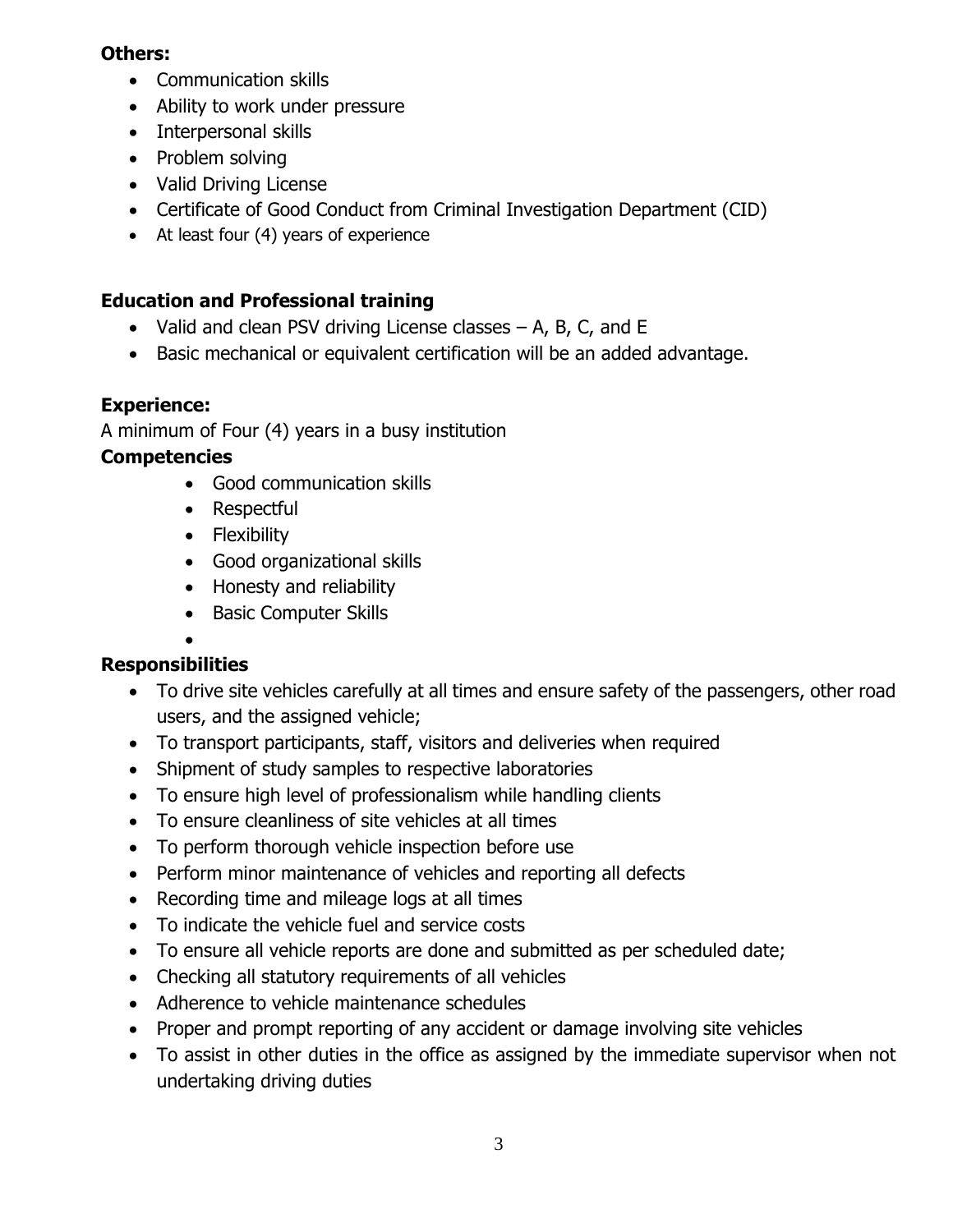#### **Others:**

- Communication skills
- Ability to work under pressure
- Interpersonal skills
- Problem solving
- Valid Driving License
- Certificate of Good Conduct from Criminal Investigation Department (CID)
- At least four (4) years of experience

# **Education and Professional training**

- Valid and clean PSV driving License classes A, B, C, and E
- Basic mechanical or equivalent certification will be an added advantage.

# **Experience:**

A minimum of Four (4) years in a busy institution

## **Competencies**

- Good communication skills
- Respectful
- Flexibility
- Good organizational skills
- Honesty and reliability
- Basic Computer Skills

#### • **Responsibilities**

- To drive site vehicles carefully at all times and ensure safety of the passengers, other road users, and the assigned vehicle;
- To transport participants, staff, visitors and deliveries when required
- Shipment of study samples to respective laboratories
- To ensure high level of professionalism while handling clients
- To ensure cleanliness of site vehicles at all times
- To perform thorough vehicle inspection before use
- Perform minor maintenance of vehicles and reporting all defects
- Recording time and mileage logs at all times
- To indicate the vehicle fuel and service costs
- To ensure all vehicle reports are done and submitted as per scheduled date;
- Checking all statutory requirements of all vehicles
- Adherence to vehicle maintenance schedules
- Proper and prompt reporting of any accident or damage involving site vehicles
- To assist in other duties in the office as assigned by the immediate supervisor when not undertaking driving duties